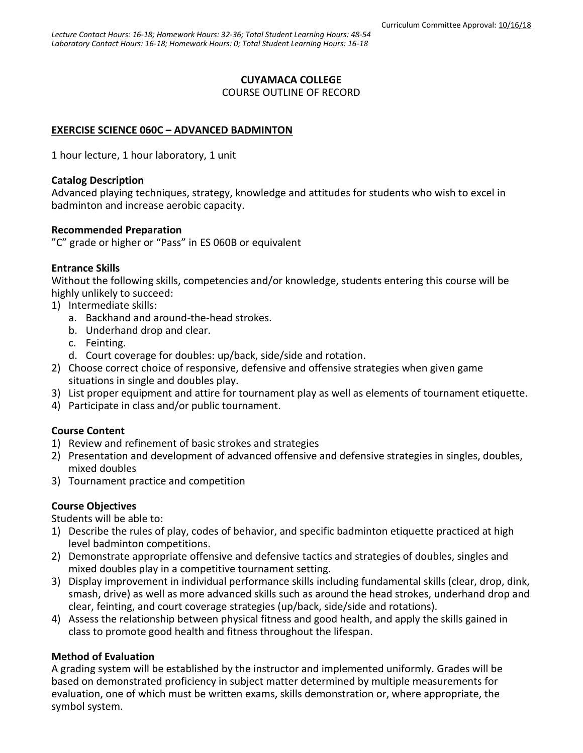#### **CUYAMACA COLLEGE**

COURSE OUTLINE OF RECORD

### **EXERCISE SCIENCE 060C – ADVANCED BADMINTON**

1 hour lecture, 1 hour laboratory, 1 unit

#### **Catalog Description**

Advanced playing techniques, strategy, knowledge and attitudes for students who wish to excel in badminton and increase aerobic capacity.

#### **Recommended Preparation**

"C" grade or higher or "Pass" in ES 060B or equivalent

#### **Entrance Skills**

Without the following skills, competencies and/or knowledge, students entering this course will be highly unlikely to succeed:

- 1) Intermediate skills:
	- a. Backhand and around-the-head strokes.
	- b. Underhand drop and clear.
	- c. Feinting.
	- d. Court coverage for doubles: up/back, side/side and rotation.
- 2) Choose correct choice of responsive, defensive and offensive strategies when given game situations in single and doubles play.
- 3) List proper equipment and attire for tournament play as well as elements of tournament etiquette.
- 4) Participate in class and/or public tournament.

#### **Course Content**

- 1) Review and refinement of basic strokes and strategies
- 2) Presentation and development of advanced offensive and defensive strategies in singles, doubles, mixed doubles
- 3) Tournament practice and competition

#### **Course Objectives**

Students will be able to:

- 1) Describe the rules of play, codes of behavior, and specific badminton etiquette practiced at high level badminton competitions.
- 2) Demonstrate appropriate offensive and defensive tactics and strategies of doubles, singles and mixed doubles play in a competitive tournament setting.
- 3) Display improvement in individual performance skills including fundamental skills (clear, drop, dink, smash, drive) as well as more advanced skills such as around the head strokes, underhand drop and clear, feinting, and court coverage strategies (up/back, side/side and rotations).
- 4) Assess the relationship between physical fitness and good health, and apply the skills gained in class to promote good health and fitness throughout the lifespan.

#### **Method of Evaluation**

A grading system will be established by the instructor and implemented uniformly. Grades will be based on demonstrated proficiency in subject matter determined by multiple measurements for evaluation, one of which must be written exams, skills demonstration or, where appropriate, the symbol system.